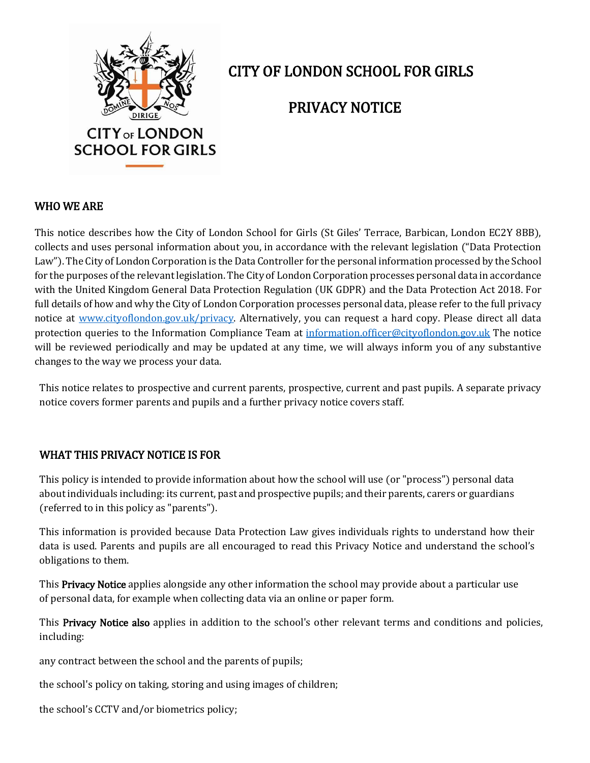

# CITY OF LONDON SCHOOL FOR GIRLS

## PRIVACY NOTICE

#### WHO WE ARE

This notice describes how the City of London School for Girls (St Giles' Terrace, Barbican, London EC2Y 8BB), collects and uses personal information about you, in accordance with the relevant legislation ("Data Protection Law"). The City of London Corporation is the Data Controller for the personal information processed by the School for the purposes of the relevant legislation. The City of London Corporation processes personal data in accordance with the United Kingdom General Data Protection Regulation (UK GDPR) and the Data Protection Act 2018. For full details of how and why the City of London Corporation processes personal data, please refer to the full privacy notice at [www.cityoflondon.gov.uk/privacy.](http://www.cityoflondon.gov.uk/privacy) Alternatively, you can request a hard copy. Please direct all data protection queries to the Information Compliance Team at [information.officer@cityoflondon.gov.uk](mailto:information.officer@cityoflondon.gov.uk) The notice will be reviewed periodically and may be updated at any time, we will always inform you of any substantive changes to the way we process your data.

This notice relates to prospective and current parents, prospective, current and past pupils. A separate privacy notice covers former parents and pupils and a further privacy notice covers staff.

#### WHAT THIS PRIVACY NOTICE IS FOR

This policy is intended to provide information about how the school will use (or "process") personal data about individuals including: its current, past and prospective pupils; and their parents, carers or guardians (referred to in this policy as "parents").

This information is provided because Data Protection Law gives individuals rights to understand how their data is used. Parents and pupils are all encouraged to read this Privacy Notice and understand the school's obligations to them.

This **Privacy Notice** applies alongside any other information the school may provide about a particular use of personal data, for example when collecting data via an online or paper form.

This Privacy Notice also applies in addition to the school's other relevant terms and conditions and policies, including:

any contract between the school and the parents of pupils;

the school's policy on taking, storing and using images of children;

the school's CCTV and/or biometrics policy;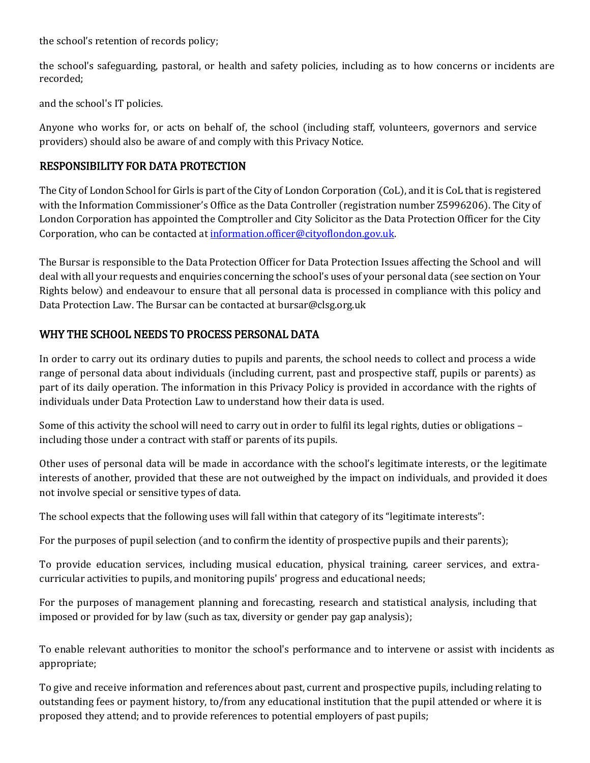the school's retention of records policy;

the school's safeguarding, pastoral, or health and safety policies, including as to how concerns or incidents are recorded;

and the school's IT policies.

Anyone who works for, or acts on behalf of, the school (including staff, volunteers, governors and service providers) should also be aware of and comply with this Privacy Notice.

#### RESPONSIBILITY FOR DATA PROTECTION

The City of London School for Girls is part of the City of London Corporation (CoL), and it is CoL that is registered with the Information Commissioner's Office as the Data Controller (registration number Z5996206). The City of London Corporation has appointed the Comptroller and City Solicitor as the Data Protection Officer for the City Corporation, who can be contacted at [information.officer@cityoflondon.gov.uk.](mailto:information.officer@cityoflondon.gov.uk)

The Bursar is responsible to the Data Protection Officer for Data Protection Issues affecting the School and will deal with all your requests and enquiries concerning the school's uses of your personal data (see section on Your Rights below) and endeavour to ensure that all personal data is processed in compliance with this policy and Data Protection Law. The Bursar can be contacted a[t bursar@clsg.org.uk](mailto:bursar@clsg.org.uk)

#### WHY THE SCHOOL NEEDS TO PROCESS PERSONAL DATA

In order to carry out its ordinary duties to pupils and parents, the school needs to collect and process a wide range of personal data about individuals (including current, past and prospective staff, pupils or parents) as part of its daily operation. The information in this Privacy Policy is provided in accordance with the rights of individuals under Data Protection Law to understand how their data is used.

Some of this activity the school will need to carry out in order to fulfil its legal rights, duties or obligations – including those under a contract with staff or parents of its pupils.

Other uses of personal data will be made in accordance with the school's legitimate interests, or the legitimate interests of another, provided that these are not outweighed by the impact on individuals, and provided it does not involve special or sensitive types of data.

The school expects that the following uses will fall within that category of its "legitimate interests":

For the purposes of pupil selection (and to confirm the identity of prospective pupils and their parents);

To provide education services, including musical education, physical training, career services, and extracurricular activities to pupils, and monitoring pupils' progress and educational needs;

For the purposes of management planning and forecasting, research and statistical analysis, including that imposed or provided for by law (such as tax, diversity or gender pay gap analysis);

To enable relevant authorities to monitor the school's performance and to intervene or assist with incidents as appropriate;

To give and receive information and references about past, current and prospective pupils, including relating to outstanding fees or payment history, to/from any educational institution that the pupil attended or where it is proposed they attend; and to provide references to potential employers of past pupils;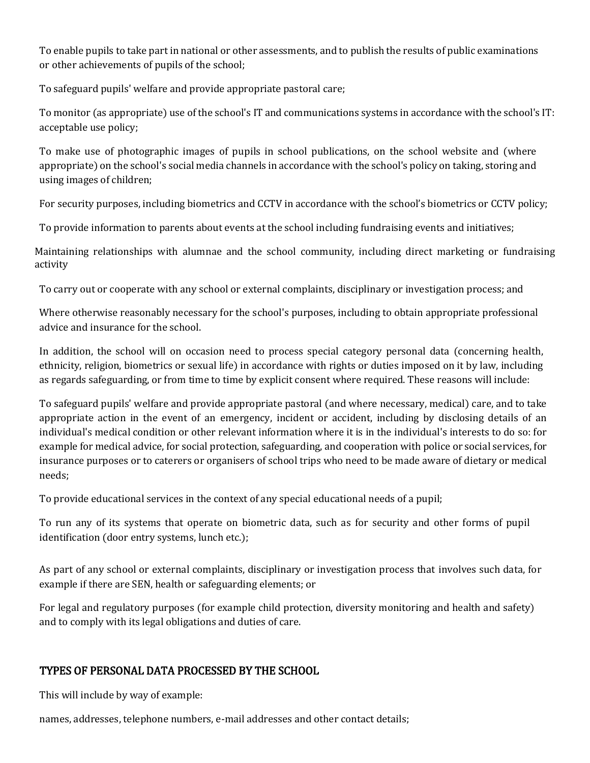To enable pupils to take part in national or other assessments, and to publish the results of public examinations or other achievements of pupils of the school;

To safeguard pupils' welfare and provide appropriate pastoral care;

To monitor (as appropriate) use of the school's IT and communications systems in accordance with the school's IT: acceptable use policy;

To make use of photographic images of pupils in school publications, on the school website and (where appropriate) on the school's social media channels in accordance with the school's policy on taking, storing and using images of children;

For security purposes, including biometrics and CCTV in accordance with the school's biometrics or CCTV policy;

To provide information to parents about events at the school including fundraising events and initiatives;

Maintaining relationships with alumnae and the school community, including direct marketing or fundraising activity

To carry out or cooperate with any school or external complaints, disciplinary or investigation process; and

Where otherwise reasonably necessary for the school's purposes, including to obtain appropriate professional advice and insurance for the school.

In addition, the school will on occasion need to process special category personal data (concerning health, ethnicity, religion, biometrics or sexual life) in accordance with rights or duties imposed on it by law, including as regards safeguarding, or from time to time by explicit consent where required. These reasons will include:

To safeguard pupils' welfare and provide appropriate pastoral (and where necessary, medical) care, and to take appropriate action in the event of an emergency, incident or accident, including by disclosing details of an individual's medical condition or other relevant information where it is in the individual's interests to do so: for example for medical advice, for social protection, safeguarding, and cooperation with police or social services, for insurance purposes or to caterers or organisers of school trips who need to be made aware of dietary or medical needs;

To provide educational services in the context of any special educational needs of a pupil;

To run any of its systems that operate on biometric data, such as for security and other forms of pupil identification (door entry systems, lunch etc.);

As part of any school or external complaints, disciplinary or investigation process that involves such data, for example if there are SEN, health or safeguarding elements; or

For legal and regulatory purposes (for example child protection, diversity monitoring and health and safety) and to comply with its legal obligations and duties of care.

## TYPES OF PERSONAL DATA PROCESSED BY THE SCHOOL

This will include by way of example:

names, addresses, telephone numbers, e-mail addresses and other contact details;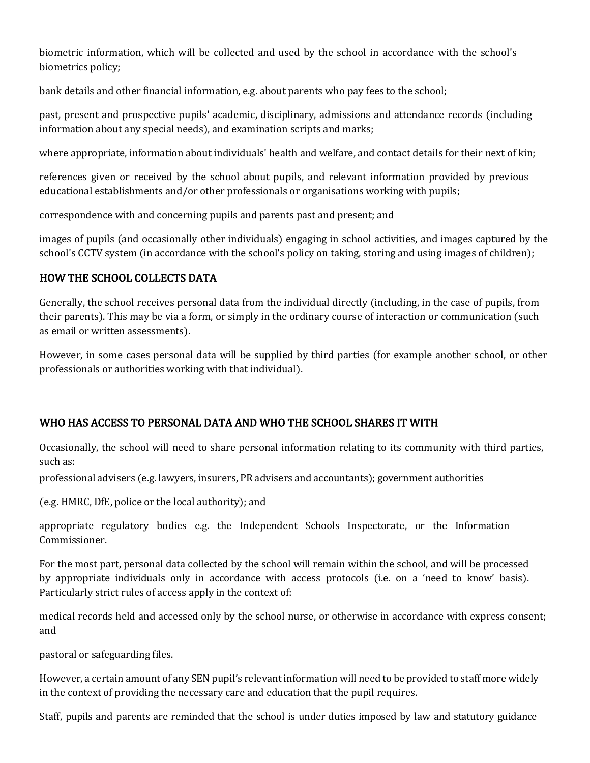biometric information, which will be collected and used by the school in accordance with the school's biometrics policy;

bank details and other financial information, e.g. about parents who pay fees to the school;

past, present and prospective pupils' academic, disciplinary, admissions and attendance records (including information about any special needs), and examination scripts and marks;

where appropriate, information about individuals' health and welfare, and contact details for their next of kin;

references given or received by the school about pupils, and relevant information provided by previous educational establishments and/or other professionals or organisations working with pupils;

correspondence with and concerning pupils and parents past and present; and

images of pupils (and occasionally other individuals) engaging in school activities, and images captured by the school's CCTV system (in accordance with the school's policy on taking, storing and using images of children);

## HOW THE SCHOOL COLLECTS DATA

Generally, the school receives personal data from the individual directly (including, in the case of pupils, from their parents). This may be via a form, or simply in the ordinary course of interaction or communication (such as email or written assessments).

However, in some cases personal data will be supplied by third parties (for example another school, or other professionals or authorities working with that individual).

## WHO HAS ACCESS TO PERSONAL DATA AND WHO THE SCHOOL SHARES IT WITH

Occasionally, the school will need to share personal information relating to its community with third parties, such as:

professional advisers (e.g. lawyers, insurers, PR advisers and accountants); government authorities

(e.g. HMRC, DfE, police or the local authority); and

appropriate regulatory bodies e.g. the [Independent Schools Inspectorate, o](https://www.isi.net/)r the Information Commissioner.

For the most part, personal data collected by the school will remain within the school, and will be processed by appropriate individuals only in accordance with access protocols (i.e. on a 'need to know' basis). Particularly strict rules of access apply in the context of:

medical records held and accessed only by the school nurse, or otherwise in accordance with express consent; and

pastoral or safeguarding files.

However, a certain amount of any SEN pupil's relevant information will need to be provided to staff more widely in the context of providing the necessary care and education that the pupil requires.

Staff, pupils and parents are reminded that the school is under duties imposed by law and statutory guidance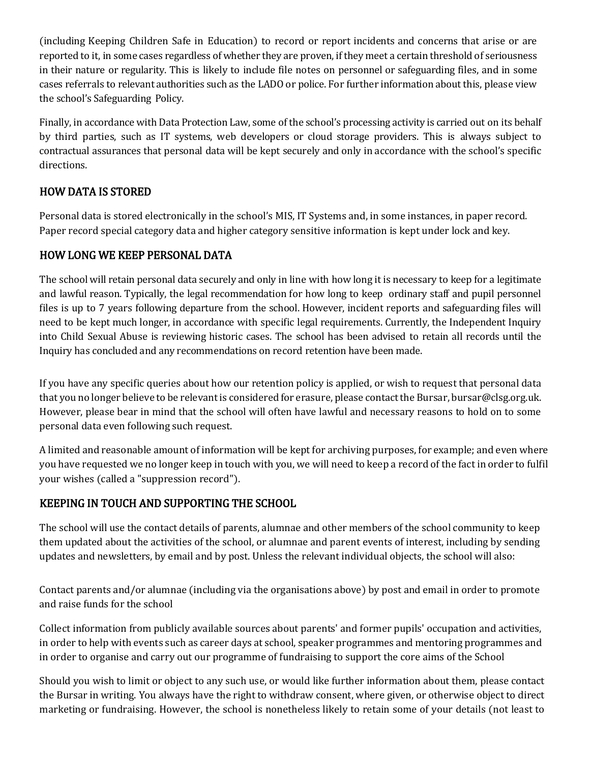(including Keeping Children Safe in Education) to record or report incidents and concerns that arise or are reported to it, in some cases regardless of whether they are proven, if they meet a certain threshold of seriousness in their nature or regularity. This is likely to include file notes on personnel or safeguarding files, and in some cases referrals to relevant authorities such as the LADO or police. For further information about this, please view the school's Safeguarding Policy.

Finally, in accordance with Data Protection Law, some of the school's processing activity is carried out on its behalf by third parties, such as IT systems, web developers or cloud storage providers. This is always subject to contractual assurances that personal data will be kept securely and only in accordance with the school's specific directions.

## HOW DATA IS STORED

Personal data is stored electronically in the school's MIS, IT Systems and, in some instances, in paper record. Paper record special category data and higher category sensitive information is kept under lock and key.

## HOW LONG WE KEEP PERSONAL DATA

The school will retain personal data securely and only in line with how long it is necessary to keep for a legitimate and lawful reason. Typically, the legal recommendation for how long to keep ordinary staff and pupil personnel files is up to 7 years following departure from the school. However, incident reports and safeguarding files will need to be kept much longer, in accordance with specific legal requirements. Currently, the Independent Inquiry into Child Sexual Abuse is reviewing historic cases. The school has been advised to retain all records until the Inquiry has concluded and any recommendations on record retention have been made.

If you have any specific queries about how our retention policy is applied, or wish to request that personal data that you no longer believe to be relevant is considered for erasure, please contact the Bursar, [bursar@clsg.org.uk.](mailto:bursar@clsg.org.uk)  However, please bear in mind that the school will often have lawful and necessary reasons to hold on to some personal data even following such request.

A limited and reasonable amount of information will be kept for archiving purposes, for example; and even where you have requested we no longer keep in touch with you, we will need to keep a record of the fact in order to fulfil your wishes (called a "suppression record").

## KEEPING IN TOUCH AND SUPPORTING THE SCHOOL

The school will use the contact details of parents, alumnae and other members of the school community to keep them updated about the activities of the school, or alumnae and parent events of interest, including by sending updates and newsletters, by email and by post. Unless the relevant individual objects, the school will also:

Contact parents and/or alumnae (including via the organisations above) by post and email in order to promote and raise funds for the school

Collect information from publicly available sources about parents' and former pupils' occupation and activities, in order to help with events such as career days at school, speaker programmes and mentoring programmes and in order to organise and carry out our programme of fundraising to support the core aims of the School

Should you wish to limit or object to any such use, or would like further information about them, please contact the Bursar in writing. You always have the right to withdraw consent, where given, or otherwise object to direct marketing or fundraising. However, the school is nonetheless likely to retain some of your details (not least to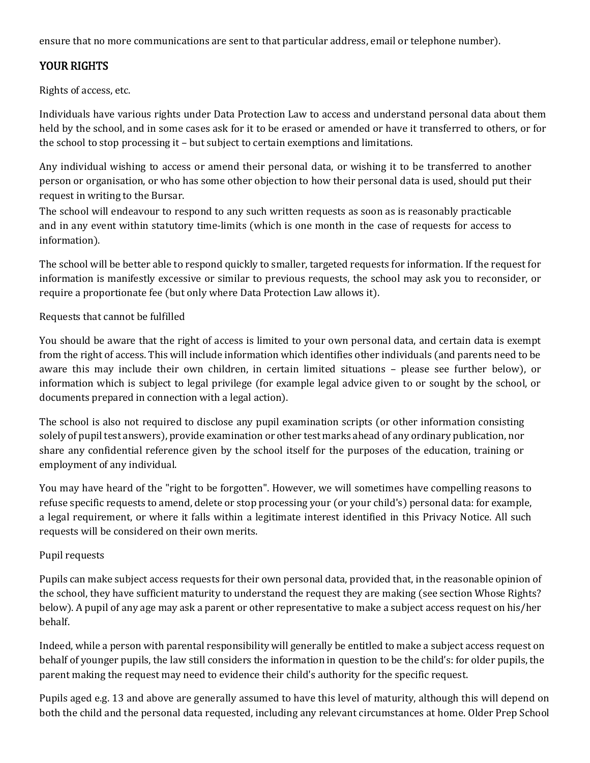ensure that no more communications are sent to that particular address, email or telephone number).

## YOUR RIGHTS

Rights of access, etc.

Individuals have various rights under Data Protection Law to access and understand personal data about them held by the school, and in some cases ask for it to be erased or amended or have it transferred to others, or for the school to stop processing it – but subject to certain exemptions and limitations.

Any individual wishing to access or amend their personal data, or wishing it to be transferred to another person or organisation, or who has some other objection to how their personal data is used, should put their request in writing to the Bursar.

The school will endeavour to respond to any such written requests as soon as is reasonably practicable and in any event within statutory time-limits (which is one month in the case of requests for access to information).

The school will be better able to respond quickly to smaller, targeted requests for information. If the request for information is manifestly excessive or similar to previous requests, the school may ask you to reconsider, or require a proportionate fee (but only where Data Protection Law allows it).

Requests that cannot be fulfilled

You should be aware that the right of access is limited to your own personal data, and certain data is exempt from the right of access. This will include information which identifies other individuals (and parents need to be aware this may include their own children, in certain limited situations – please see further below), or information which is subject to legal privilege (for example legal advice given to or sought by the school, or documents prepared in connection with a legal action).

The school is also not required to disclose any pupil examination scripts (or other information consisting solely of pupil test answers), provide examination or other test marks ahead of any ordinary publication, nor share any confidential reference given by the school itself for the purposes of the education, training or employment of any individual.

You may have heard of the "right to be forgotten". However, we will sometimes have compelling reasons to refuse specific requests to amend, delete or stop processing your (or your child's) personal data: for example, a legal requirement, or where it falls within a legitimate interest identified in this Privacy Notice. All such requests will be considered on their own merits.

#### Pupil requests

Pupils can make subject access requests for their own personal data, provided that, in the reasonable opinion of the school, they have sufficient maturity to understand the request they are making (see section Whose Rights? below). A pupil of any age may ask a parent or other representative to make a subject access request on his/her behalf.

Indeed, while a person with parental responsibility will generally be entitled to make a subject access request on behalf of younger pupils, the law still considers the information in question to be the child's: for older pupils, the parent making the request may need to evidence their child's authority for the specific request.

Pupils aged e.g. 13 and above are generally assumed to have this level of maturity, although this will depend on both the child and the personal data requested, including any relevant circumstances at home. Older Prep School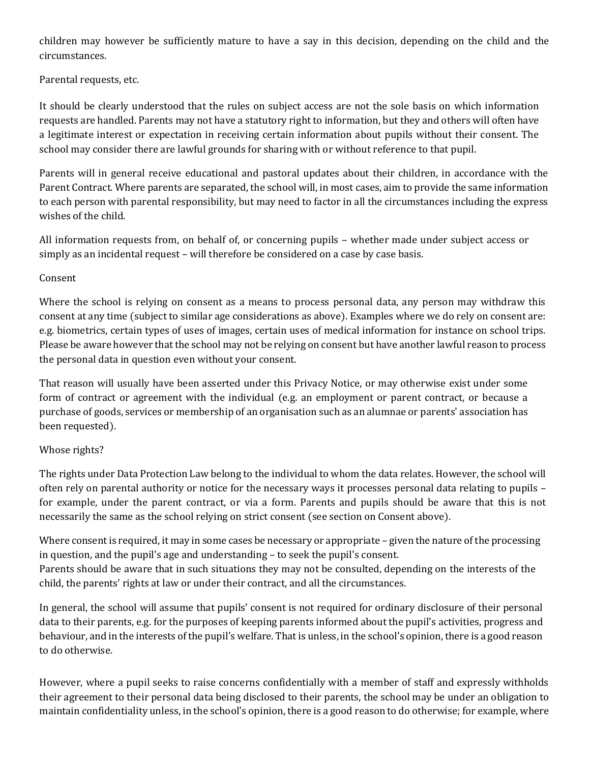children may however be sufficiently mature to have a say in this decision, depending on the child and the circumstances.

Parental requests, etc.

It should be clearly understood that the rules on subject access are not the sole basis on which information requests are handled. Parents may not have a statutory right to information, but they and others will often have a legitimate interest or expectation in receiving certain information about pupils without their consent. The school may consider there are lawful grounds for sharing with or without reference to that pupil.

Parents will in general receive educational and pastoral updates about their children, in accordance with the Parent Contract. Where parents are separated, the school will, in most cases, aim to provide the same information to each person with parental responsibility, but may need to factor in all the circumstances including the express wishes of the child.

All information requests from, on behalf of, or concerning pupils – whether made under subject access or simply as an incidental request – will therefore be considered on a case by case basis.

#### Consent

Where the school is relying on consent as a means to process personal data, any person may withdraw this consent at any time (subject to similar age considerations as above). Examples where we do rely on consent are: e.g. biometrics, certain types of uses of images, certain uses of medical information for instance on school trips. Please be aware however that the school may not be relying on consent but have another lawful reason to process the personal data in question even without your consent.

That reason will usually have been asserted under this Privacy Notice, or may otherwise exist under some form of contract or agreement with the individual (e.g. an employment or parent contract, or because a purchase of goods, services or membership of an organisation such as an alumnae or parents' association has been requested).

#### Whose rights?

The rights under Data Protection Law belong to the individual to whom the data relates. However, the school will often rely on parental authority or notice for the necessary ways it processes personal data relating to pupils – for example, under the parent contract, or via a form. Parents and pupils should be aware that this is not necessarily the same as the school relying on strict consent (see section on Consent above).

Where consent is required, it may in some cases be necessary or appropriate – given the nature of the processing in question, and the pupil's age and understanding – to seek the pupil's consent. Parents should be aware that in such situations they may not be consulted, depending on the interests of the child, the parents' rights at law or under their contract, and all the circumstances.

In general, the school will assume that pupils' consent is not required for ordinary disclosure of their personal data to their parents, e.g. for the purposes of keeping parents informed about the pupil's activities, progress and behaviour, and in the interests of the pupil's welfare. That is unless, in the school's opinion, there is a good reason to do otherwise.

However, where a pupil seeks to raise concerns confidentially with a member of staff and expressly withholds their agreement to their personal data being disclosed to their parents, the school may be under an obligation to maintain confidentiality unless, in the school's opinion, there is a good reason to do otherwise; for example, where